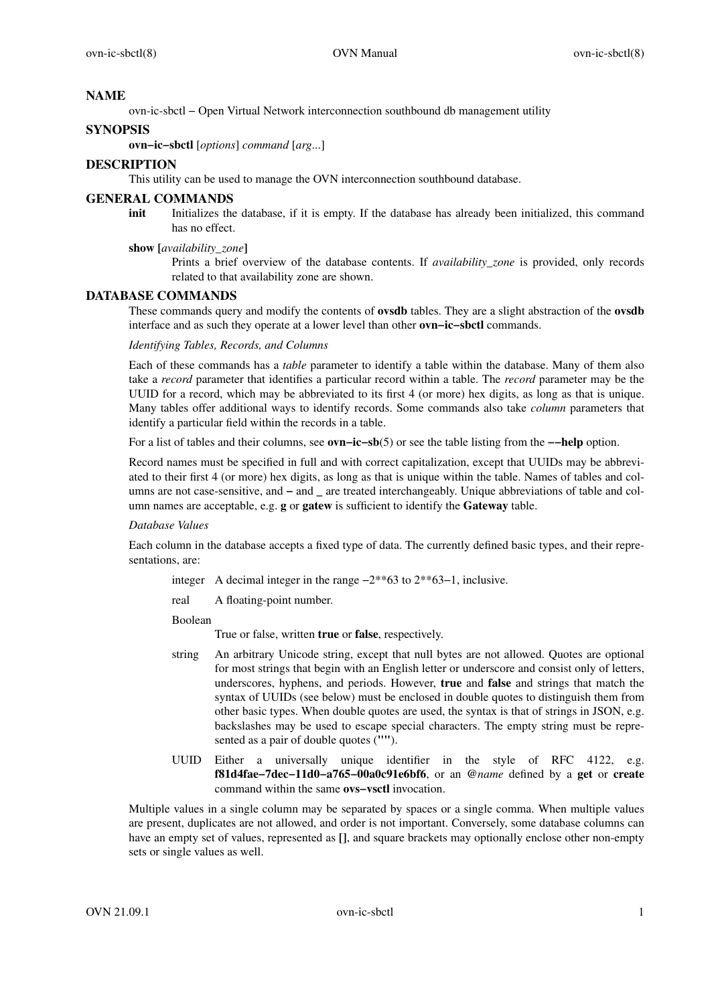# **NAME**

ovn-ic-sbctl − Open Virtual Network interconnection southbound db management utility

## **SYNOPSIS**

**ovn−ic−sbctl** [*options*] *command* [*arg*...]

## **DESCRIPTION**

This utility can be used to manage the OVN interconnection southbound database.

## **GENERAL COMMANDS**

**init** Initializes the database, if it is empty. If the database has already been initialized, this command has no effect.

## **show [***availability\_zone***]**

Prints a brief overview of the database contents. If *availability\_zone* is provided, only records related to that availability zone are shown.

## **DATABASE COMMANDS**

These commands query and modify the contents of **ovsdb** tables. They are a slight abstraction of the **ovsdb** interface and as such they operate at a lower level than other **ovn−ic−sbctl** commands.

### *Identifying Tables, Records, and Columns*

Each of these commands has a *table* parameter to identify a table within the database. Many of them also take a *record* parameter that identifies a particular record within a table. The *record* parameter may be the UUID for a record, which may be abbreviated to its first 4 (or more) hex digits, as long as that is unique. Many tables offer additional ways to identify records. Some commands also take *column* parameters that identify a particular field within the records in a table.

Foralist of tables and their columns, see **ovn−ic−sb**(5) or see the table listing from the **−−help** option.

Record names must be specified in full and with correct capitalization, except that UUIDs may be abbreviated to their first 4 (or more) hex digits, as long as that is unique within the table. Names of tables and columns are not case-sensitive, and **−** and **\_** are treated interchangeably. Unique abbreviations of table and column names are acceptable, e.g. **g** or **gatew** is sufficient to identify the **Gateway** table.

## *Database Values*

Each column in the database accepts a fixed type of data. The currently defined basic types, and their representations, are:

- integer A decimal integer in the range −2\*\*63 to 2\*\*63−1, inclusive.
- real A floating-point number.

Boolean

True or false, written **true** or **false**, respectively.

- string An arbitrary Unicode string, except that null bytes are not allowed. Quotes are optional for most strings that begin with an English letter or underscore and consist only of letters, underscores, hyphens, and periods. However, **true** and **false** and strings that match the syntax of UUIDs (see below) must be enclosed in double quotes to distinguish them from other basic types. When double quotes are used, the syntax is that of strings in JSON, e.g. backslashes may be used to escape special characters. The empty string must be represented as a pair of double quotes (**""**).
- UUID Either a universally unique identifier in the style of RFC 4122, e.g. **f81d4fae−7dec−11d0−a765−00a0c91e6bf6**, or an **@***name* defined by a **get** or **create** command within the same **ovs−vsctl** invocation.

Multiple values in a single column may be separated by spaces or a single comma. When multiple values are present, duplicates are not allowed, and order is not important. Conversely, some database columns can have an empty set of values, represented as **[]**, and square brackets may optionally enclose other non-empty sets or single values as well.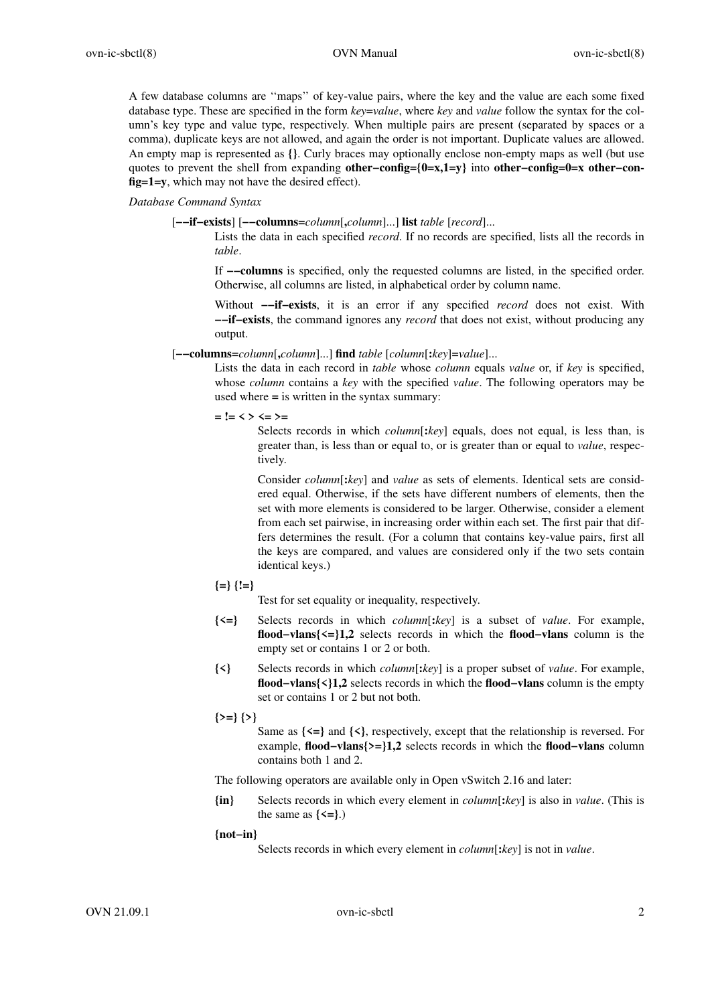A few database columns are ''maps'' of key-value pairs, where the key and the value are each some fixed database type. These are specified in the form *key***=***value*, where *key* and *value* follow the syntax for the column's key type and value type, respectively. When multiple pairs are present (separated by spaces or a comma), duplicate keys are not allowed, and again the order is not important. Duplicate values are allowed. An empty map is represented as **{}**. Curly braces may optionally enclose non-empty maps as well (but use quotes to prevent the shell from expanding **other−config={0=x,1=y}** into **other−config=0=x other−config=1=y**, which may not have the desired effect).

### *Database Command Syntax*

[**−−if−exists**] [**−−columns=***column*[**,***column*]...] **list** *table* [*record*]...

Lists the data in each specified *record*. If no records are specified, lists all the records in *table*.

If **−−columns** is specified, only the requested columns are listed, in the specified order. Otherwise, all columns are listed, in alphabetical order by column name.

Without **−−if−exists**, it is an error if any specified *record* does not exist. With **−−if−exists**, the command ignores any *record* that does not exist, without producing any output.

[**−−columns=***column*[**,***column*]...] **find** *table* [*column*[**:***key*]**=***value*]...

Lists the data in each record in *table* whose *column* equals *value* or, if *key* is specified, whose *column* contains a *key* with the specified *value*. The following operators may be used where **=** is written in the syntax summary:

**= != < > <= >=**

Selects records in which *column*[**:***key*] equals, does not equal, is less than, is greater than, is less than or equal to, or is greater than or equal to *value*, respectively.

Consider *column*[**:***key*] and *value* as sets of elements. Identical sets are considered equal. Otherwise, if the sets have different numbers of elements, then the set with more elements is considered to be larger. Otherwise, consider a element from each set pairwise, in increasing order within each set. The first pair that differs determines the result. (For a column that contains key-value pairs, first all the keys are compared, and values are considered only if the two sets contain identical keys.)

**{=} {!=}**

Test for set equality or inequality, respectively.

- **{<=}** Selects records in which *column*[**:***key*] is a subset of *value*. For example, **flood−vlans{<=}1,2** selects records in which the **flood−vlans** column is the empty set or contains 1 or 2 or both.
- **{<}** Selects records in which *column*[**:***key*] is a proper subset of *value*. For example, **flood−vlans{<}1,2** selects records in which the **flood−vlans** column is the empty set or contains 1 or 2 but not both.
- **{>=} {>}**

Same as **{<=}** and **{<}**, respectively, except that the relationship is reversed. For example, **flood−vlans{>=}1,2** selects records in which the **flood−vlans** column contains both 1 and 2.

The following operators are available only in Open vSwitch 2.16 and later:

**{in}** Selects records in which every element in *column*[**:***key*] is also in *value*. (This is the same as  $\{\leq =\}$ .)

### **{not−in}**

Selects records in which every element in *column*[**:***key*] is not in *value*.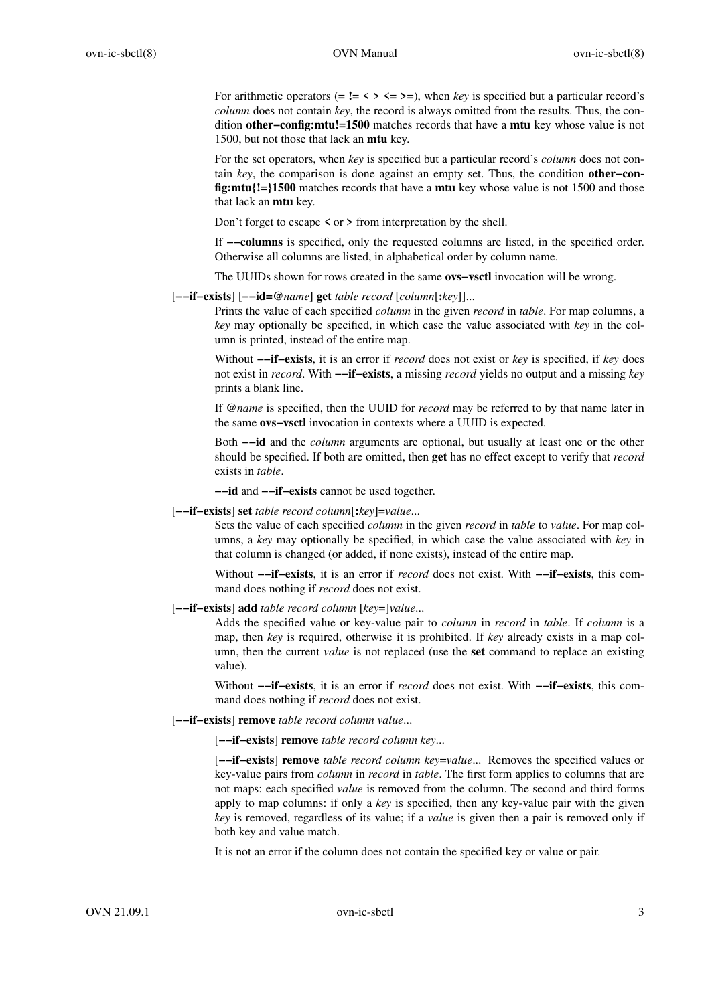For arithmetic operators ( $=$   $!=$   $\lt$   $>$   $\lt$  $=$   $>$  $=$ ), when *key* is specified but a particular record's *column* does not contain *key*, the record is always omitted from the results. Thus, the condition **other−config:mtu!=1500** matches records that have a **mtu** key whose value is not 1500, but not those that lack an **mtu** key.

For the set operators, when *key* is specified but a particular record's *column* does not contain *key*, the comparison is done against an empty set. Thus, the condition **other−config:mtu{!=}1500** matches records that have a **mtu** key whose value is not 1500 and those that lack an **mtu** key.

Don't forget to escape **<** or **>** from interpretation by the shell.

If **−−columns** is specified, only the requested columns are listed, in the specified order. Otherwise all columns are listed, in alphabetical order by column name.

The UUIDs shown for rows created in the same **ovs−vsctl** invocation will be wrong.

[**−−if−exists**] [**−−id=@***name*] **get** *table record* [*column*[**:***key*]]...

Prints the value of each specified *column* in the given *record* in *table*. For map columns, a *key* may optionally be specified, in which case the value associated with *key* in the column is printed, instead of the entire map.

Without **−−if−exists**, it is an error if *record* does not exist or *key* is specified, if *key* does not exist in *record*. With **−−if−exists**,amissing *record* yields no output and a missing *key* prints a blank line.

If **@***name* is specified, then the UUID for *record* may be referred to by that name later in the same **ovs−vsctl** invocation in contexts where a UUID is expected.

Both **−−id** and the *column* arguments are optional, but usually at least one or the other should be specified. If both are omitted, then **get** has no effect except to verify that *record* exists in *table*.

**−−id** and **−−if−exists** cannot be used together.

[**−−if−exists**] **set** *table record column*[**:***key*]**=***value*...

Sets the value of each specified *column* in the given *record* in *table* to *value*. For map columns, a *key* may optionally be specified, in which case the value associated with *key* in that column is changed (or added, if none exists), instead of the entire map.

Without **−−if−exists**, it is an error if *record* does not exist. With **−−if−exists**, this command does nothing if *record* does not exist.

[**−−if−exists**] **add** *table record column* [*key***=**]*value*...

Adds the specified value or key-value pair to *column* in *record* in *table*. If *column* is a map, then *key* is required, otherwise it is prohibited. If *key* already exists in a map column, then the current *value* is not replaced (use the **set** command to replace an existing value).

Without **−−if−exists**, it is an error if *record* does not exist. With **−−if−exists**, this command does nothing if *record* does not exist.

[**−−if−exists**] **remove** *table record column value*...

[**−−if−exists**] **remove** *table record column key*...

[**−−if−exists**] **remove** *table record column key***=***value*... Removes the specified values or key-value pairs from *column* in *record* in *table*. The first form applies to columns that are not maps: each specified *value* is removed from the column. The second and third forms apply to map columns: if only a *key* is specified, then any key-value pair with the given *key* is removed, regardless of its value; if a *value* is given then a pair is removed only if both key and value match.

It is not an error if the column does not contain the specified key or value or pair.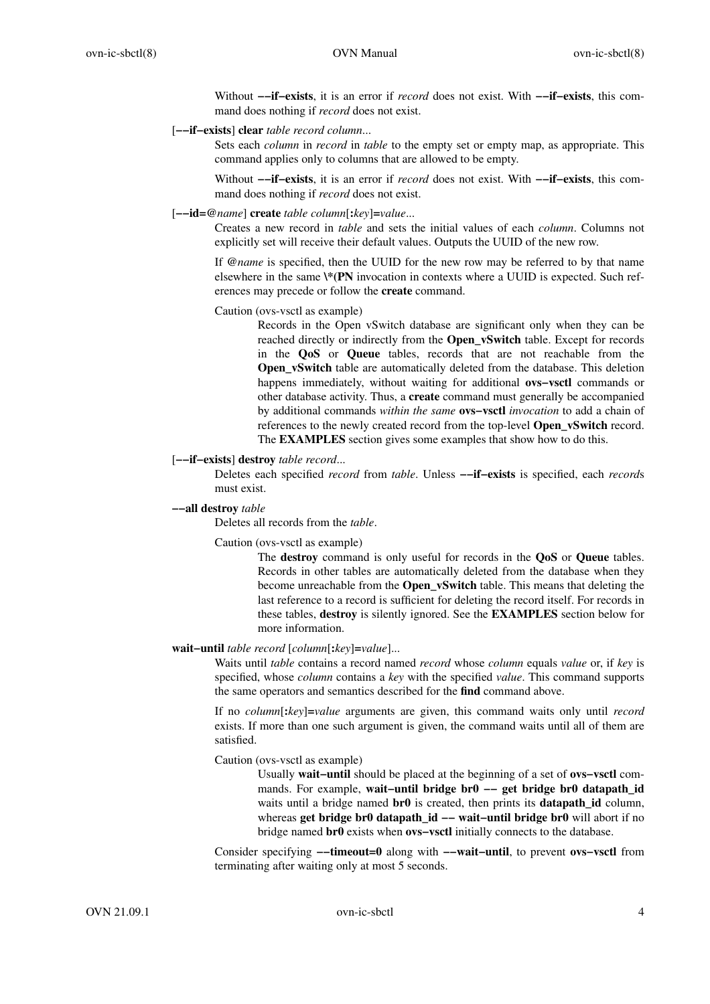Without **−−if−exists**, it is an error if *record* does not exist. With **−−if−exists**, this command does nothing if *record* does not exist.

### [**−−if−exists**] **clear** *table record column*...

Sets each *column* in *record* in *table* to the empty set or empty map, as appropriate. This command applies only to columns that are allowed to be empty.

Without **−−if−exists**, it is an error if *record* does not exist. With **−−if−exists**, this command does nothing if *record* does not exist.

#### [**−−id=@***name*] **create** *table column*[**:***key*]**=***value*...

Creates a new record in *table* and sets the initial values of each *column*. Columns not explicitly set will receive their default values. Outputs the UUID of the new row.

If **@***name* is specified, then the UUID for the new row may be referred to by that name elsewhere in the same **\\*(PN** invocation in contexts where a UUID is expected. Such references may precede or follow the **create** command.

### Caution (ovs-vsctl as example)

Records in the Open vSwitch database are significant only when they can be reached directly or indirectly from the **Open\_vSwitch** table. Except for records in the **QoS** or **Queue** tables, records that are not reachable from the **Open\_vSwitch** table are automatically deleted from the database. This deletion happens immediately, without waiting for additional **ovs−vsctl** commands or other database activity. Thus, a **create** command must generally be accompanied by additional commands *within the same* **ovs−vsctl** *invocation* to add a chain of references to the newly created record from the top-level **Open\_vSwitch** record. The **EXAMPLES** section gives some examples that show how to do this.

#### [**−−if−exists**] **destroy** *table record*...

Deletes each specified *record* from *table*. Unless **−−if−exists** is specified, each *record*s must exist.

#### **−−all destroy** *table*

Deletes all records from the *table*.

Caution (ovs-vsctl as example)

The **destroy** command is only useful for records in the **QoS** or **Queue** tables. Records in other tables are automatically deleted from the database when they become unreachable from the **Open\_vSwitch** table. This means that deleting the last reference to a record is sufficient for deleting the record itself. For records in these tables, **destroy** is silently ignored. See the **EXAMPLES** section below for more information.

#### **wait−until** *table record* [*column*[**:***key*]**=***value*]...

Waits until *table* contains a record named *record* whose *column* equals *value* or, if *key* is specified, whose *column* contains a *key* with the specified *value*. This command supports the same operators and semantics described for the **find** command above.

If no *column*[**:***key*]**=***value* arguments are given, this command waits only until *record* exists. If more than one such argument is given, the command waits until all of them are satisfied.

Caution (ovs-vsctl as example)

Usually **wait−until** should be placed at the beginning of a set of **ovs−vsctl** commands. For example, **wait−until bridge br0 −− get bridge br0 datapath\_id** waits until a bridge named **br0** is created, then prints its **datapath id** column, whereas **get bridge br0 datapath\_id -- wait-until bridge br0** will abort if no bridge named **br0** exists when **ovs−vsctl** initially connects to the database.

Consider specifying **−−timeout=0** along with **−−wait−until**, to prevent **ovs−vsctl** from terminating after waiting only at most 5 seconds.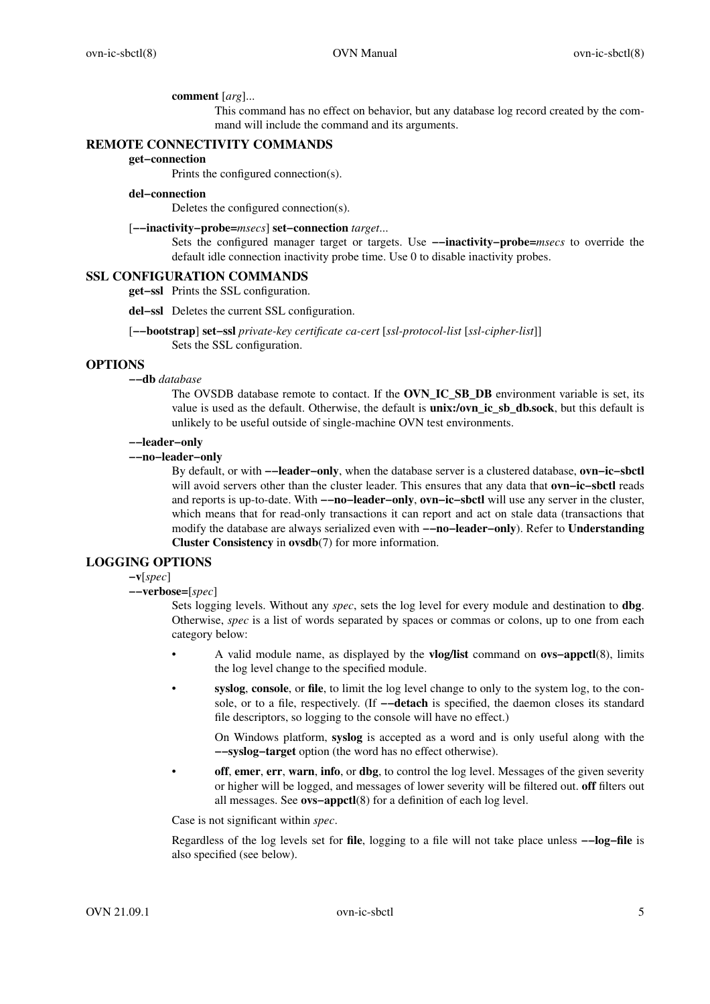#### **comment** [*arg*]...

This command has no effect on behavior, but any database log record created by the command will include the command and its arguments.

### **REMOTE CONNECTIVITY COMMANDS**

**get−connection**

Prints the configured connection(s).

### **del−connection**

Deletes the configured connection(s).

### [**−−inactivity−probe=***msecs*] **set−connection** *target*...

Sets the configured manager target or targets. Use **−−inactivity−probe=***msecs* to override the default idle connection inactivity probe time. Use 0 to disable inactivity probes.

### **SSL CONFIGURATION COMMANDS**

**get−ssl** Prints the SSL configuration.

- **del−ssl** Deletes the current SSL configuration.
- [**−−bootstrap**] **set−ssl** *private-key certificate ca-cert* [*ssl-protocol-list* [*ssl-cipher-list*]] Sets the SSL configuration.

### **OPTIONS**

**−−db** *database*

The OVSDB database remote to contact. If the **OVN\_IC\_SB\_DB** environment variable is set, its value is used as the default. Otherwise, the default is **unix:/ovn\_ic\_sb\_db.sock**, but this default is unlikely to be useful outside of single-machine OVN test environments.

## **−−leader−only**

**−−no−leader−only**

By default, or with **−−leader−only**, when the database server is a clustered database, **ovn−ic−sbctl** will avoid servers other than the cluster leader. This ensures that any data that **ovn−ic−sbctl** reads and reports is up-to-date. With **−−no−leader−only**, **ovn−ic−sbctl** will use any server in the cluster, which means that for read-only transactions it can report and act on stale data (transactions that modify the database are always serialized even with **−−no−leader−only**). Refer to **Understanding Cluster Consistency** in **ovsdb**(7) for more information.

### **LOGGING OPTIONS**

#### **−v**[*spec*]

**−−verbose=**[*spec*]

Sets logging levels. Without any *spec*, sets the log level for every module and destination to **dbg**. Otherwise, *spec* is a list of words separated by spaces or commas or colons, up to one from each category below:

- A valid module name, as displayed by the **vlog/list** command on **ovs−appctl**(8), limits the log level change to the specified module.
- **syslog**, **console**, or **file**, to limit the log level change to only to the system log, to the console, or to a file, respectively. (If **−−detach** is specified, the daemon closes its standard file descriptors, so logging to the console will have no effect.)

On Windows platform, **syslog** is accepted as a word and is only useful along with the **−−syslog−target** option (the word has no effect otherwise).

**off**, **emer**, **err**, **warn**, **info**, or **dbg**, to control the log level. Messages of the given severity or higher will be logged, and messages of lower severity will be filtered out. **off** filters out all messages. See **ovs−appctl**(8) for a definition of each log level.

Case is not significant within *spec*.

Regardless of the log levels set for **file**, logging to a file will not take place unless **−−log−file** is also specified (see below).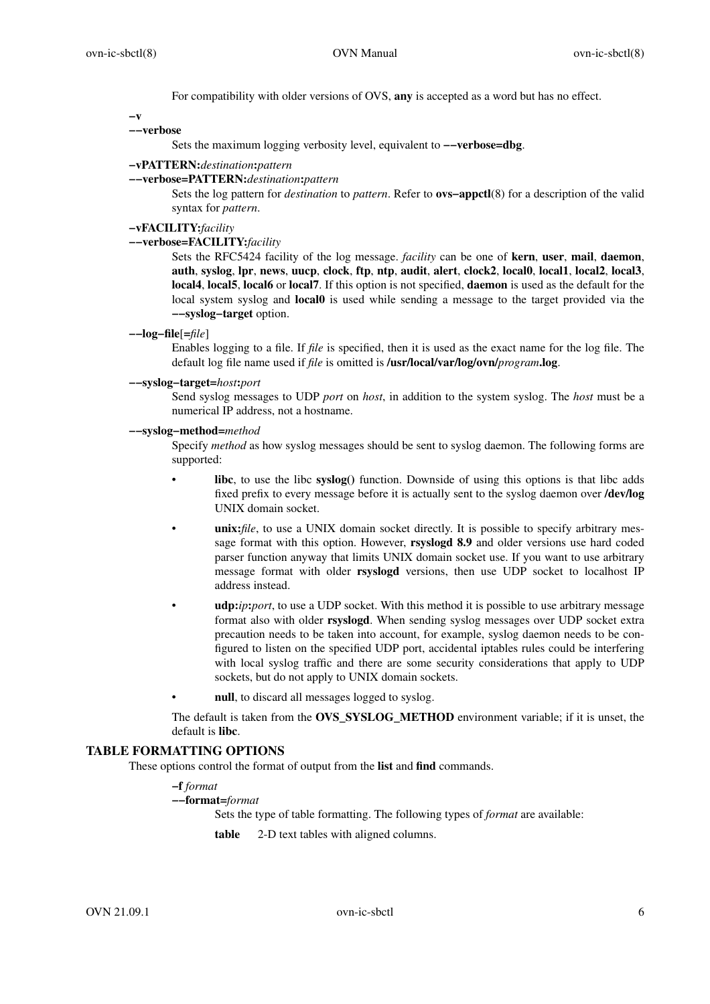For compatibility with older versions of OVS, **any** is accepted as a word but has no effect.

**−v**

### **−−verbose**

Sets the maximum logging verbosity level, equivalent to **−−verbose=dbg**.

## **−vPATTERN:***destination***:***pattern*

### **−−verbose=PATTERN:***destination***:***pattern*

Sets the log pattern for *destination* to *pattern*. Refer to **ovs−appctl**(8) for a description of the valid syntax for *pattern*.

# **−vFACILITY:***facility*

## **−−verbose=FACILITY:***facility*

Sets the RFC5424 facility of the log message. *facility* can be one of **kern**, **user**, **mail**, **daemon**, **auth**, **syslog**, **lpr**, **news**, **uucp**, **clock**, **ftp**, **ntp**, **audit**, **alert**, **clock2**, **local0**, **local1**, **local2**, **local3**, **local4**, **local5**, **local6** or **local7**. If this option is not specified, **daemon** is used as the default for the local system syslog and **local0** is used while sending a message to the target provided via the **−−syslog−target** option.

**−−log−file**[**=***file*]

Enables logging to a file. If *file* is specified, then it is used as the exact name for the log file. The default log file name used if *file* is omitted is **/usr/local/var/log/ovn/***program***.log**.

#### **−−syslog−target=***host***:***port*

Send syslog messages to UDP *port* on *host*, in addition to the system syslog. The *host* must be a numerical IP address, not a hostname.

### **−−syslog−method=***method*

Specify *method* as how syslog messages should be sent to syslog daemon. The following forms are supported:

- **libc**, to use the libc **syslog()** function. Downside of using this options is that libc adds fixed prefix to every message before it is actually sent to the syslog daemon over **/dev/log** UNIX domain socket.
- **unix:***file*, to use a UNIX domain socket directly. It is possible to specify arbitrary message format with this option. However, **rsyslogd 8.9** and older versions use hard coded parser function anyway that limits UNIX domain socket use. If you want to use arbitrary message format with older **rsyslogd** versions, then use UDP socket to localhost IP address instead.
- **udp:***ip***:***port*, to use a UDP socket. With this method it is possible to use arbitrary message format also with older **rsyslogd**. When sending syslog messages over UDP socket extra precaution needs to be taken into account, for example, syslog daemon needs to be configured to listen on the specified UDP port, accidental iptables rules could be interfering with local syslog traffic and there are some security considerations that apply to UDP sockets, but do not apply to UNIX domain sockets.
- null, to discard all messages logged to syslog.

The default is taken from the **OVS\_SYSLOG\_METHOD** environment variable; if it is unset, the default is **libc**.

## **TABLE FORMATTING OPTIONS**

These options control the format of output from the **list** and **find** commands.

**−f** *format*

```
−−format=format
```
Sets the type of table formatting. The following types of *format* are available:

**table** 2-D text tables with aligned columns.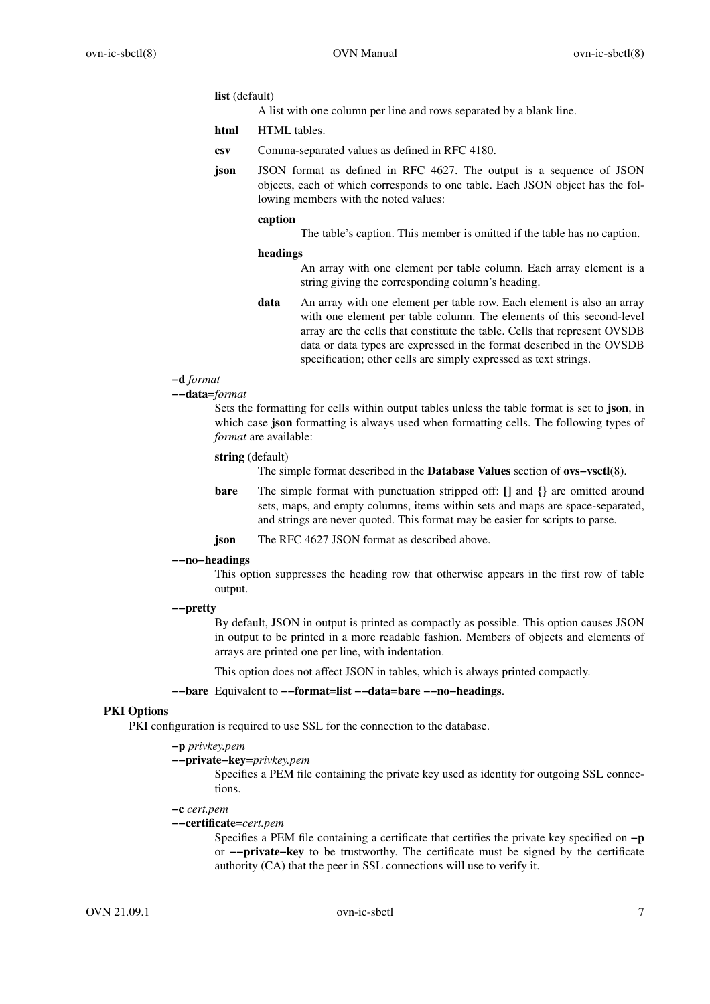#### **list** (default)

A list with one column per line and rows separated by a blank line.

**html** HTML tables.

- **csv** Comma-separated values as defined in RFC 4180.
- **json** JSON format as defined in RFC 4627. The output is a sequence of JSON objects, each of which corresponds to one table. Each JSON object has the following members with the noted values:

#### **caption**

The table's caption. This member is omitted if the table has no caption.

#### **headings**

An array with one element per table column. Each array element is a string giving the corresponding column's heading.

**data** An array with one element per table row. Each element is also an array with one element per table column. The elements of this second-level array are the cells that constitute the table. Cells that represent OVSDB data or data types are expressed in the format described in the OVSDB specification; other cells are simply expressed as text strings.

# **−d** *format*

**−−data=***format*

Sets the formatting for cells within output tables unless the table format is set to **json**, in which case **json** formatting is always used when formatting cells. The following types of *format* are available:

#### **string** (default)

The simple format described in the **Database Values** section of **ovs−vsctl**(8).

- **bare** The simple format with punctuation stripped off: **[]** and **{}** are omitted around sets, maps, and empty columns, items within sets and maps are space-separated, and strings are never quoted. This format may be easier for scripts to parse.
- **json** The RFC 4627 JSON format as described above.

#### **−−no−headings**

This option suppresses the heading row that otherwise appears in the first row of table output.

### **−−pretty**

By default, JSON in output is printed as compactly as possible. This option causes JSON in output to be printed in a more readable fashion. Members of objects and elements of arrays are printed one per line, with indentation.

This option does not affect JSON in tables, which is always printed compactly.

#### **−−bare** Equivalent to **−−format=list −−data=bare −−no−headings**.

## **PKI Options**

PKI configuration is required to use SSL for the connection to the database.

# **−p** *privkey.pem*

**−−private−key=***privkey.pem*

Specifies a PEM file containing the private key used as identity for outgoing SSL connections.

**−c** *cert.pem*

#### **−−certificate=***cert.pem*

Specifies a PEM file containing a certificate that certifies the private key specified on **−p** or **−−private−key** to be trustworthy. The certificate must be signed by the certificate authority (CA) that the peer in SSL connections will use to verify it.